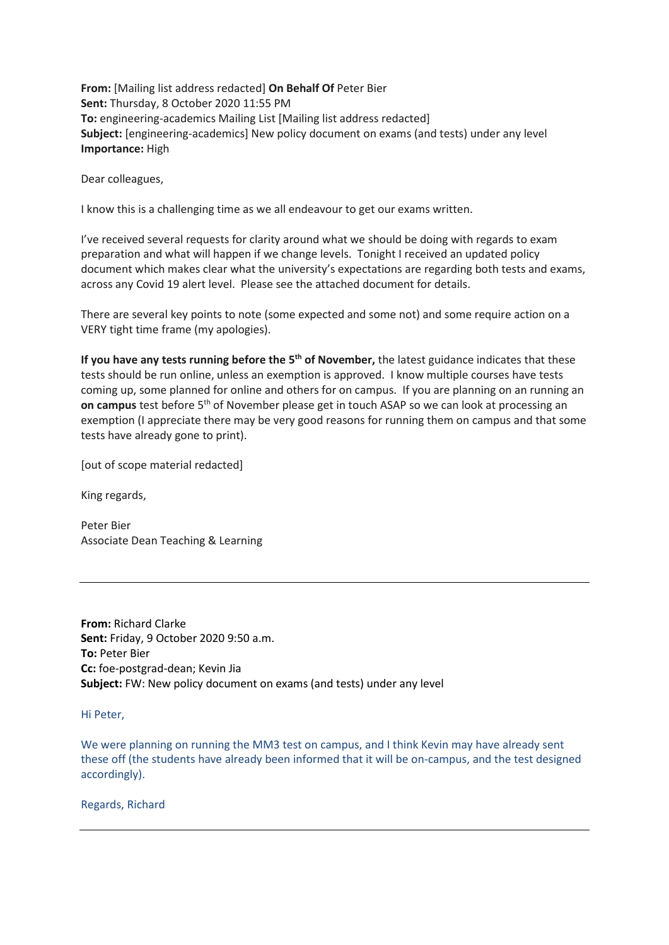**From:** [Mailing list address redacted] **On Behalf Of** Peter Bier **Sent:** Thursday, 8 October 2020 11:55 PM **To:** engineering-academics Mailing List [Mailing list address redacted] **Subject:** [engineering-academics] New policy document on exams (and tests) under any level **Importance:** High

Dear colleagues,

I know this is a challenging time as we all endeavour to get our exams written.

I've received several requests for clarity around what we should be doing with regards to exam preparation and what will happen if we change levels. Tonight I received an updated policy document which makes clear what the university's expectations are regarding both tests and exams, across any Covid 19 alert level. Please see the attached document for details.

There are several key points to note (some expected and some not) and some require action on a VERY tight time frame (my apologies).

**If you have any tests running before the 5th of November,** the latest guidance indicates that these tests should be run online, unless an exemption is approved. I know multiple courses have tests coming up, some planned for online and others for on campus. If you are planning on an running an on campus test before 5<sup>th</sup> of November please get in touch ASAP so we can look at processing an exemption (I appreciate there may be very good reasons for running them on campus and that some tests have already gone to print).

[out of scope material redacted]

King regards,

Peter Bier Associate Dean Teaching & Learning

**From:** Richard Clarke **Sent:** Friday, 9 October 2020 9:50 a.m. **To:** Peter Bier **Cc:** foe-postgrad-dean; Kevin Jia **Subject:** FW: New policy document on exams (and tests) under any level

Hi Peter,

We were planning on running the MM3 test on campus, and I think Kevin may have already sent these off (the students have already been informed that it will be on-campus, and the test designed accordingly).

Regards, Richard